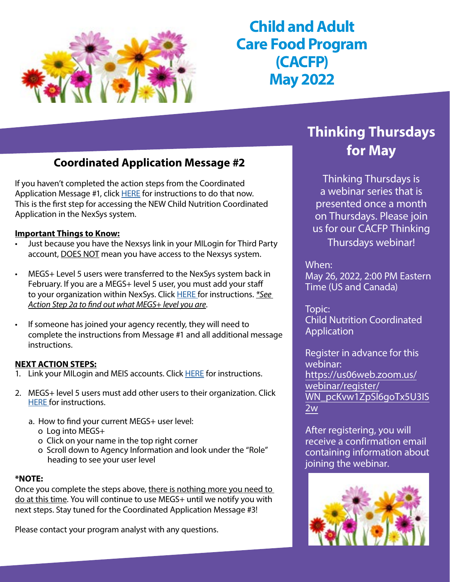

# **Child and Adult Care Food Program (CACFP) May 2022**

## **Coordinated Application Message #2**

If you haven't completed the action steps from the Coordinated Application Message #1, click [HERE](https://www.michigan.gov/mde/-/media/Project/Websites/mde/Food-and-Nutrition-Programs/Child-Nutrition-Program-System-Help-Documents/Coordinated-Application-Message-1.pdf?rev=ea425b09d9d44650b027538d6bb1cce2&hash=D0186BFEE3070754BBE4CEB0E471962E) for instructions to do that now. This is the first step for accessing the NEW Child Nutrition Coordinated Application in the NexSys system.

#### **Important Things to Know:**

- Just because you have the Nexsys link in your MILogin for Third Party account, DOES NOT mean you have access to the Nexsys system.
- MEGS+ Level 5 users were transferred to the NexSys system back in February. If you are a MEGS+ level 5 user, you must add your staff to your organization within NexSys. Click [HERE](https://www.michigan.gov/mde/-/media/Project/Websites/mde/Food-and-Nutrition-Programs/Child-Nutrition-Program-System-Help-Documents/NexSys---Adding-a-User-to-an-Organization.pdf?rev=709783587ab24dedb7c7892515c7cde2&hash=E17B6E3ECD11DD004FD1B46CA20EAF0F) for instructions. *\*See Action Step 2a to find out what MEGS+ level you are*.
- If someone has joined your agency recently, they will need to complete the instructions from Message #1 and all additional message instructions.

#### **NEXT ACTION STEPS:**

- 1. Link your MILogin and MEIS accounts. Click [HERE](https://www.michigan.gov/mde/-/media/Project/Websites/mde/Food-and-Nutrition-Programs/Child-Nutrition-Program-System-Help-Documents/External-Linking-MILogin-and-MEIS---Seperated_735490.pdf?rev=17c8f074a38745f6ad876d302dbb749c&hash=F8DE131F8BF9373B4B8F28265D09C45C) for instructions.
- 2. MEGS+ level 5 users must add other users to their organization. Click [HERE f](https://www.michigan.gov/mde/-/media/Project/Websites/mde/Food-and-Nutrition-Programs/Child-Nutrition-Program-System-Help-Documents/NexSys---Adding-a-User-to-an-Organization.pdf?rev=709783587ab24dedb7c7892515c7cde2&hash=E17B6E3ECD11DD004FD1B46CA20EAF0F)or instructions.
	- a. How to find your current MEGS+ user level:
		- o Log into MEGS+
		- o Click on your name in the top right corner
		- o Scroll down to Agency Information and look under the "Role" heading to see your user level

#### **\*NOTE:**

Once you complete the steps above, there is nothing more you need to do at this time. You will continue to use MEGS+ until we notify you with next steps. Stay tuned for the Coordinated Application Message #3!

Please contact your program analyst with any questions.

# **Thinking Thursdays for May**

Thinking Thursdays is a webinar series that is presented once a month on Thursdays. Please join us for our CACFP Thinking Thursdays webinar!

When: May 26, 2022, 2:00 PM Eastern Time (US and Canada)

Topic: Child Nutrition Coordinated Application

Register in advance for this webinar: https://us06web.zoom.us/ webinar/register/ [WN\\_pcKvw1ZpSl6goTx5U3IS](https://us06web.zoom.us/webinar/register/WN_pcKvw1ZpSl6goTx5U3IS2w) 2w

After registering, you will receive a confirmation email containing information about joining the webinar.

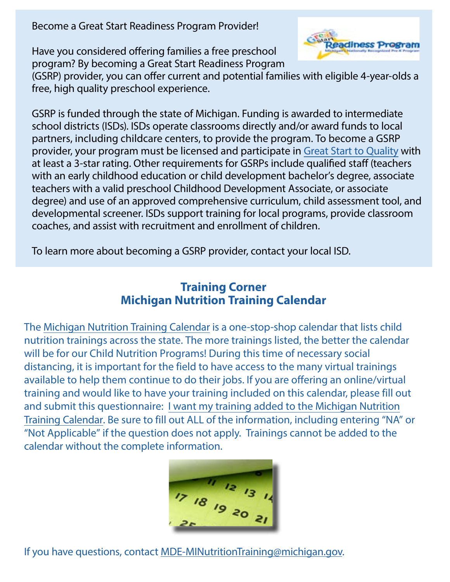Become a Great Start Readiness Program Provider!

Have you considered offering families a free preschool program? By becoming a Great Start Readiness Program



(GSRP) provider, you can offer current and potential families with eligible 4-year-olds a free, high quality preschool experience.

GSRP is funded through the state of Michigan. Funding is awarded to intermediate school districts (ISDs). ISDs operate classrooms directly and/or award funds to local partners, including childcare centers, to provide the program. To become a GSRP provider, your program must be licensed and participate in [Great Start to Quality](https://www.michigan.gov/mde/services/early-learners-and-care/gsrp#:~:text=The%20Great%20Start%20Readiness%20Program%20%28GSRP%29%20is%20Michigan%27s,Michigan%20Department%20of%20Education%2C%20Office%20of%20Great%20Start.) with at least a 3-star rating. Other requirements for GSRPs include qualified staff (teachers with an early childhood education or child development bachelor's degree, associate teachers with a valid preschool Childhood Development Associate, or associate degree) and use of an approved comprehensive curriculum, child assessment tool, and developmental screener. ISDs support training for local programs, provide classroom coaches, and assist with recruitment and enrollment of children.

To learn more about becoming a GSRP provider, contact your local ISD.

## **Training Corner Michigan Nutrition Training Calendar**

The [Michigan Nutrition](https://gcc02.safelinks.protection.outlook.com/?url=https%3A%2F%2Flnks.gd%2Fl%2FeyJhbGciOiJIUzI1NiJ9.eyJidWxsZXRpbl9saW5rX2lkIjoxMDgsInVyaSI6ImJwMjpjbGljayIsImJ1bGxldGluX2lkIjoiMjAyMDAzMTEuMTg1NDI3MjEiLCJ1cmwiOiJodHRwczovL2djYzAxLnNhZmVsaW5rcy5wcm90ZWN0aW9uLm91dGxvb2suY29tLz91cmw9aHR0cHMlM0ElMkYlMkZtZG9lLnN0YXRlLm1pLnVzJTJGZ2F0ZXdheSUyRkF1dGhlbnRpY2F0aW9uJTJGVHJhaW5pbmdDYWxlbmRhciZkYXRhPTAyJTdDMDElN0NCdXNob25nTCU0MG1pY2hpZ2FuLmdvdiU3Q2Y2ZjZjMmY3NmIzYzQ3NjAxZTEyMDhkN2E1YzFkMDNjJTdDZDVmYjcwODczNzc3NDJhZDk2NmE4OTJlZjQ3MjI1ZDElN0MwJTdDMCU3QzYzNzE2MDEyNDE0MjA1ODc2MiZzZGF0YT1WbWZvOG1mbjVUbSUyQll2YjRHMGhWeVpHZE5JR09pcFRUU3pMM0syUDZiRGslM0QmcmVzZXJ2ZWQ9MCJ9.BPy7EsCsQa7ZwzK1_5B_WzMPmjhA5ZPycp0emyyFKEw%2Fbr%2F75967648860-l&data=04%7C01%7CGalbaviT%40michigan.gov%7C67a036a8697f4647d07f08da1f0c3772%7Cd5fb7087377742ad966a892ef47225d1%7C0%7C0%7C637856435005091329%7CUnknown%7CTWFpbGZsb3d8eyJWIjoiMC4wLjAwMDAiLCJQIjoiV2luMzIiLCJBTiI6Ik1haWwiLCJXVCI6Mn0%3D%7C3000&sdata=Gi8OLzcxiihrx%2F%2FVzspbOSI0XCGimPnz8kgGLNhNFWo%3D&reserved=0) Training Calendar is a one-stop-shop calendar that lists child nutrition trainings across the state. The more trainings listed, the better the calendar will be for our Child Nutrition Programs! During this time of necessary social distancing, it is important for the field to have access to the many virtual trainings available to help them continue to do their jobs. If you are offering an online/virtual training and would like to have your training included on this calendar, please fill out [and submit this questionnaire: I want my training added to the Michigan Nutrition](https://gcc02.safelinks.protection.outlook.com/?url=https%3A%2F%2Fmdoe.state.mi.us%2Fgems%2Fpublic%2FQuestionnaireHome.aspx%3Fcode%3Di4a9scdr&data=04%7C01%7CGalbaviT%40michigan.gov%7C8664cd74ade446971ff708d91158f550%7Cd5fb7087377742ad966a892ef47225d1%7C0%7C1%7C637559896059095636%7CUnknown%7CTWFpbGZsb3d8eyJWIjoiMC4wLjAwMDAiLCJQIjoiV2luMzIiLCJBTiI6Ik1haWwiLCJXVCI6Mn0%3D%7C1000&sdata=8PAAAKLrlo1m9xIxD3pSck%2FkyjWyk2oZ%2BmKMhqUL4qU%3D&reserved=0)  Training Calendar. Be sure to fill out ALL of the information, including entering "NA" or "Not Applicable" if the question does not apply. Trainings cannot be added to the calendar without the complete information.



If you have questions, contact [MDE-MINutritionTraining@michigan.gov.](mailto:MDE-MINutritionTraining@michigan.gov)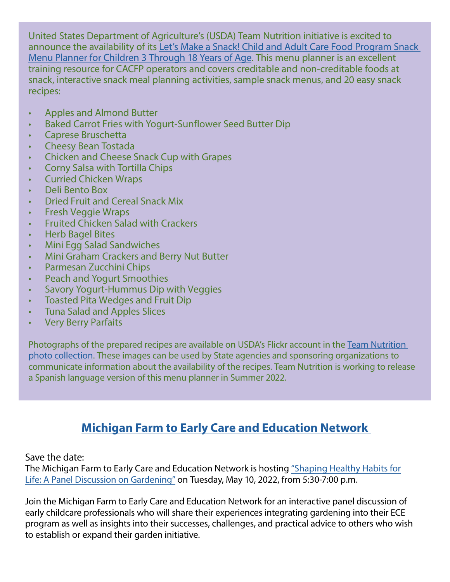United States Department of Agriculture's (USDA) Team Nutrition initiative is excited to announce the availability of its Let's Make a Snack! Child and Adult Care Food Program Snack [Menu Planner for Children 3 Through 18 Years of Age](https://gcc02.safelinks.protection.outlook.com/?url=https%3A%2F%2Fwww.fns.usda.gov%2Ftn%2Flets-make-snack&data=04%7C01%7Cgalbavit%40michigan.gov%7C37bb293cc8cd42f8dca508da1ee8dd6a%7Cd5fb7087377742ad966a892ef47225d1%7C0%7C0%7C637856282737895504%7CUnknown%7CTWFpbGZsb3d8eyJWIjoiMC4wLjAwMDAiLCJQIjoiV2luMzIiLCJBTiI6Ik1haWwiLCJXVCI6Mn0%3D%7C3000&sdata=ZCU9f3sPx4RnGd6AItoxSbIRN37gU13AK7rqlp%2FWnxg%3D&reserved=0). This menu planner is an excellent training resource for CACFP operators and covers creditable and non-creditable foods at snack, interactive snack meal planning activities, sample snack menus, and 20 easy snack recipes:

- Apples and Almond Butter
- Baked Carrot Fries with Yogurt-Sunflower Seed Butter Dip
- Caprese Bruschetta
- Cheesy Bean Tostada
- Chicken and Cheese Snack Cup with Grapes
- Corny Salsa with Tortilla Chips
- Curried Chicken Wraps
- Deli Bento Box
- Dried Fruit and Cereal Snack Mix
- Fresh Veggie Wraps
- Fruited Chicken Salad with Crackers
- Herb Bagel Bites
- Mini Egg Salad Sandwiches
- Mini Graham Crackers and Berry Nut Butter
- Parmesan Zucchini Chips
- Peach and Yogurt Smoothies
- Savory Yogurt-Hummus Dip with Veggies
- Toasted Pita Wedges and Fruit Dip
- Tuna Salad and Apples Slices
- Very Berry Parfaits

Photographs of the prepared recipes are available on USDA's Flickr account in the [Team Nutrition](https://gcc02.safelinks.protection.outlook.com/?url=https%3A%2F%2Fwww.flickr.com%2Fphotos%2Fusdagov%2Fsets%2F72157720123421098%2F&data=04%7C01%7Cgalbavit%40michigan.gov%7C37bb293cc8cd42f8dca508da1ee8dd6a%7Cd5fb7087377742ad966a892ef47225d1%7C0%7C0%7C637856282737895504%7CUnknown%7CTWFpbGZsb3d8eyJWIjoiMC4wLjAwMDAiLCJQIjoiV2luMzIiLCJBTiI6Ik1haWwiLCJXVCI6Mn0%3D%7C3000&sdata=cqIoOTtDpyWCwlRUGS%2BlPq9ZfD8HbevdZ8xpQ89kOG0%3D&reserved=0)  [photo collection.](https://gcc02.safelinks.protection.outlook.com/?url=https%3A%2F%2Fwww.flickr.com%2Fphotos%2Fusdagov%2Fsets%2F72157720123421098%2F&data=04%7C01%7Cgalbavit%40michigan.gov%7C37bb293cc8cd42f8dca508da1ee8dd6a%7Cd5fb7087377742ad966a892ef47225d1%7C0%7C0%7C637856282737895504%7CUnknown%7CTWFpbGZsb3d8eyJWIjoiMC4wLjAwMDAiLCJQIjoiV2luMzIiLCJBTiI6Ik1haWwiLCJXVCI6Mn0%3D%7C3000&sdata=cqIoOTtDpyWCwlRUGS%2BlPq9ZfD8HbevdZ8xpQ89kOG0%3D&reserved=0) These images can be used by State agencies and sponsoring organizations to communicate information about the availability of the recipes. Team Nutrition is working to release a Spanish language version of this menu planner in Summer 2022.

# **[Michigan Farm to Early Care and Education Network](https://www.canr.msu.edu/michigan-farm-to-ece-network)**

Save the date:

The Michigan Farm to Early Care and Education Network is hostin[g "Shaping Healthy Habits for](https://www.canr.msu.edu/events/shaping-healthy-habits-for-life-a-panel-discussion-on-gardening)  Life: [A Panel Discussion on Gardening"](https://www.canr.msu.edu/events/shaping-healthy-habits-for-life-a-panel-discussion-on-gardening) on Tuesday, May 10, 2022, from 5:30-7:00 p.m.

Join the Michigan Farm to Early Care and Education Network for an interactive panel discussion of early childcare professionals who will share their experiences integrating gardening into their ECE program as well as insights into their successes, challenges, and practical advice to others who wish to establish or expand their garden initiative.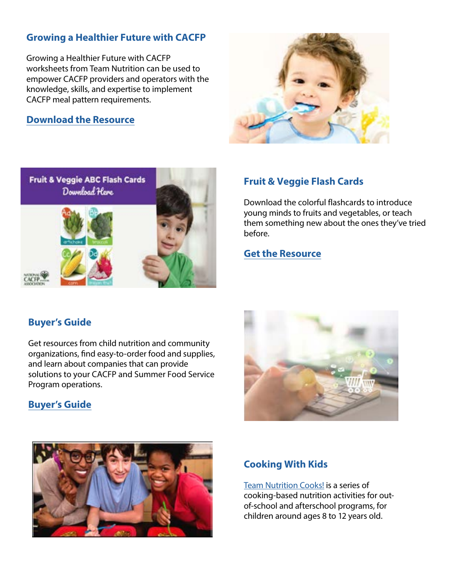### **Growing a Healthier Future with CACFP**

Growing a Healthier Future with CACFP worksheets from Team Nutrition can be used to empower CACFP providers and operators with the knowledge, skills, and expertise to implement CACFP meal pattern requirements.

#### **[Download the Resource](https://gcc02.safelinks.protection.outlook.com/?url=https%3A%2F%2Fr20.rs6.net%2Ftn.jsp%3Ff%3D001R-VoiLIkqxFotDxUanQElRomTIwc46cHtOwVhOuIqkUDnbJ0YNnoADCj-D6MSChiJ6tyUEED_wboNoAml0_QiHfnH7e6YjqlVm4bjiRBWR3A2jhmz6lGz6cRDzwkmXMK-nwsJklDd_v2_d34Be9IOey4jnxv6vrUk3shSxcLu2fGtC2QoX646tjEksUldGsJ8faLoStqUUV_CtSdVMEgr91amZWjlq7D%26c%3D_uldR28AClnF0BfyvSMNDmSdbUQQqhKtpp2F_tp3wtXpNAom3nRkMg%3D%3D%26ch%3D_he9CNwMMbteY6PE8Uykjw5O95CVOU_vqPBwgk76CPvwN0i1g4bJOA%3D%3D&data=04%7C01%7Cgalbavit%40michigan.gov%7C65d1281831aa4720efd608da18a07f80%7Cd5fb7087377742ad966a892ef47225d1%7C0%7C0%7C637849374852530124%7CUnknown%7CTWFpbGZsb3d8eyJWIjoiMC4wLjAwMDAiLCJQIjoiV2luMzIiLCJBTiI6Ik1haWwiLCJXVCI6Mn0%3D%7C3000&sdata=wenjRB8hY04si6cEcVjmZ1k%2BJMvISxAMaGwLpjSJSjE%3D&reserved=0)**





#### **Fruit & Veggie Flash Cards**

Download the colorful flashcards to introduce young minds to fruits and vegetables, or teach them something new about the ones they've tried before.

#### **[Get the Resource](https://gcc02.safelinks.protection.outlook.com/?url=https%3A%2F%2Fr20.rs6.net%2Ftn.jsp%3Ff%3D001n2xEjqOyssA-fODrhJHj_pbzaJpNb7l6sYtOn9S9KDRQHdc8roAELEaE5xWDfx5zmDMStRdGk0NrNzj89IXnC8iS9Aam_tiMo2xNO9xBSuksus5eTiPpnIXuNciIsMkTlXtl2I-hn07rOnYxoXeNYFJubrZzCqxB0xk28NfMwSsD9jC4P4Yi0eAT18zHSkKtgs2Ewjpz4j67QGGX1sTDgw%3D%3D%26c%3DO16mI3Yg03fqSbGzmyWM7iSlaksYBUuN3F9vnWNOhCPuQZuM3rlQEg%3D%3D%26ch%3DsWb2bJfDrnbUyPwxQcMCbUl9aR5FWa6DejpZRNt0PO_oENkesGCDKg%3D%3D&data=04%7C01%7Cgalbavit%40michigan.gov%7Ce1d7d5ebb42d43f1ee4008da170e39a1%7Cd5fb7087377742ad966a892ef47225d1%7C0%7C0%7C637847647109443984%7CUnknown%7CTWFpbGZsb3d8eyJWIjoiMC4wLjAwMDAiLCJQIjoiV2luMzIiLCJBTiI6Ik1haWwiLCJXVCI6Mn0%3D%7C3000&sdata=7HJIBU3opFYqeFKSt%2Bxd%2BVzvKhvLHG9CjuFTCjlB0Xk%3D&reserved=0)**

### **Buyer's Guide**

Get resources from child nutrition and community organizations, find easy-to-order food and supplies, and learn about companies that can provide solutions to your CACFP and Summer Food Service Program operations.

#### **[Buyer's Guide](https://gcc02.safelinks.protection.outlook.com/?url=https%3A%2F%2Fr20.rs6.net%2Ftn.jsp%3Ff%3D001cR8sp8d65J6UGufHojJ2uLvfgKVBGfapn4iaS6U-iGHb7kJRFDBb7GrLvg_2Abn3FjzdGS4dRNio2gUdYNcsnXkxo7Pa-f1LCTceyZGb-3vaTMET-oo8jm2bMRcpcTBDFOI1ukqZkqts1WetVXsYxgSMDMkV8iWv%26c%3D1iR-2knp1j5tO0bf_e7eWa-KBRFd4stmjORW2rFWSA6I8pxLebB2lQ%3D%3D%26ch%3D7fDxCKh0pcqq1xWA4c4raJrBVCPvBOaEouqHRXkLpRBwkZJ6e0oCIQ%3D%3D&data=04%7C01%7Cgalbavit%40michigan.gov%7C0b4e7d0e28e74809af7108da1c8fc767%7Cd5fb7087377742ad966a892ef47225d1%7C0%7C0%7C637853701101235085%7CUnknown%7CTWFpbGZsb3d8eyJWIjoiMC4wLjAwMDAiLCJQIjoiV2luMzIiLCJBTiI6Ik1haWwiLCJXVCI6Mn0%3D%7C3000&sdata=j9s4h8VHgKDLL8pj7Lr7ePy2K1v5PHM9LvCYGvRMP9M%3D&reserved=0)**





#### **Cooking With Kids**

[Team Nutrition Cooks!](https://www.fns.usda.gov/tn/cooks) is a series of cooking-based nutrition activities for outof-school and afterschool programs, for children around ages 8 to 12 years old.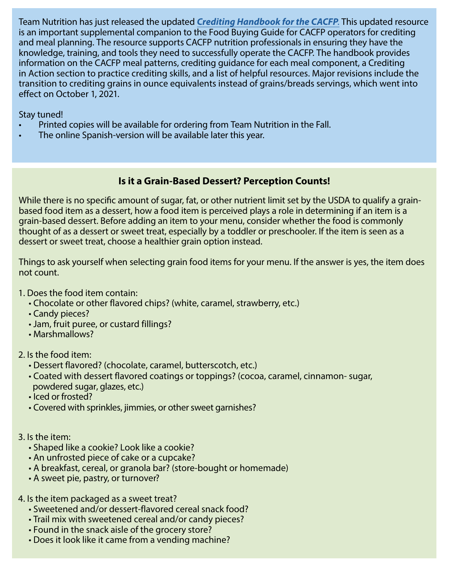Team Nutrition has just released the updated *[Crediting Handbook for the CACFP](https://gcc02.safelinks.protection.outlook.com/?url=https%3A%2F%2Fwww.fns.usda.gov%2Ftn%2Fcrediting-handbook-child-and-adult-care-food-program&data=05%7C01%7Cgalbavit%40michigan.gov%7Cd0aebb30880e492035f408da23001a9d%7Cd5fb7087377742ad966a892ef47225d1%7C0%7C0%7C637860780595689783%7CUnknown%7CTWFpbGZsb3d8eyJWIjoiMC4wLjAwMDAiLCJQIjoiV2luMzIiLCJBTiI6Ik1haWwiLCJXVCI6Mn0%3D%7C3000%7C%7C%7C&sdata=nP5RUGWZK3m5KOwxCpFVUGxlHn1Gm2S%2BSjBM1QYrAGg%3D&reserved=0)*. This updated resource is an important supplemental companion to the Food Buying Guide for CACFP operators for crediting and meal planning. The resource supports CACFP nutrition professionals in ensuring they have the knowledge, training, and tools they need to successfully operate the CACFP. The handbook provides information on the CACFP meal patterns, crediting guidance for each meal component, a Crediting in Action section to practice crediting skills, and a list of helpful resources. Major revisions include the transition to crediting grains in ounce equivalents instead of grains/breads servings, which went into effect on October 1, 2021.

Stay tuned!

- Printed copies will be available for ordering from Team Nutrition in the Fall.
- The online Spanish-version will be available later this year.

### **Is it a Grain-Based Dessert? Perception Counts!**

While there is no specific amount of sugar, fat, or other nutrient limit set by the USDA to qualify a grainbased food item as a dessert, how a food item is perceived plays a role in determining if an item is a grain-based dessert. Before adding an item to your menu, consider whether the food is commonly thought of as a dessert or sweet treat, especially by a toddler or preschooler. If the item is seen as a dessert or sweet treat, choose a healthier grain option instead.

Things to ask yourself when selecting grain food items for your menu. If the answer is yes, the item does not count.

1. Does the food item contain:

- Chocolate or other flavored chips? (white, caramel, strawberry, etc.)
- Candy pieces?
- Jam, fruit puree, or custard fillings?
- Marshmallows?

#### 2. Is the food item:

- Dessert flavored? (chocolate, caramel, butterscotch, etc.)
- Coated with dessert flavored coatings or toppings? (cocoa, caramel, cinnamon- sugar, powdered sugar, glazes, etc.)
- Iced or frosted?
- Covered with sprinkles, jimmies, or other sweet garnishes?

#### 3. Is the item:

- Shaped like a cookie? Look like a cookie?
- An unfrosted piece of cake or a cupcake?
- A breakfast, cereal, or granola bar? (store-bought or homemade)
- A sweet pie, pastry, or turnover?
- 4. Is the item packaged as a sweet treat?
	- Sweetened and/or dessert-flavored cereal snack food?
	- Trail mix with sweetened cereal and/or candy pieces?
	- Found in the snack aisle of the grocery store?
	- Does it look like it came from a vending machine?